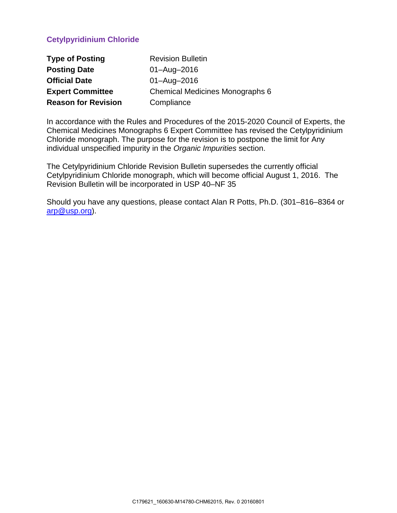# **Cetylpyridinium Chloride**

| <b>Type of Posting</b>     | <b>Revision Bulletin</b>                                    |  |
|----------------------------|-------------------------------------------------------------|--|
| <b>Posting Date</b>        | $01 - \text{Aug} - 2016$                                    |  |
| <b>Official Date</b>       | $01 - \text{Aug} - 2016$<br>Chemical Medicines Monographs 6 |  |
| <b>Expert Committee</b>    |                                                             |  |
| <b>Reason for Revision</b> | Compliance                                                  |  |

In accordance with the Rules and Procedures of the 2015-2020 Council of Experts, the Chemical Medicines Monographs 6 Expert Committee has revised the Cetylpyridinium Chloride monograph. The purpose for the revision is to postpone the limit for Any individual unspecified impurity in the *Organic Impurities* section.

The Cetylpyridinium Chloride Revision Bulletin supersedes the currently official Cetylpyridinium Chloride monograph, which will become official August 1, 2016. The Revision Bulletin will be incorporated in USP 40–NF 35

Should you have any questions, please contact Alan R Potts, Ph.D. (301–816–8364 or [arp@usp.org\)](mailto:arp@usp.org).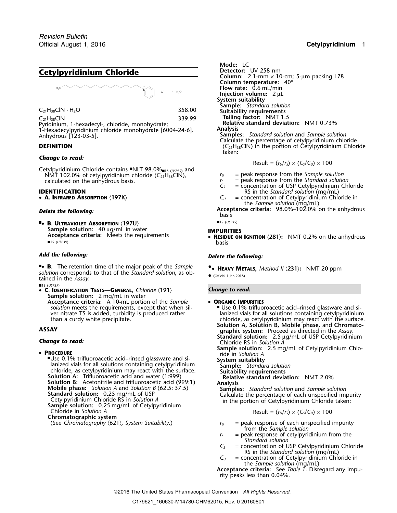# **Cetylpyridinium Chloride**



Pyridinium, 1-hexadecyl-, chloride, monohydrate; **Relative standard deviation: Relativ**<br>1-Hexadecylpyridinium chloride monohydrate [6004-24-6] **Analysis** 1-Hexadecylpyridinium chloride monohydrate [6004-24-6]. **Analysis** Anhydrous [123-03-5]. **Samples:** *Standard solution* and *Sample solution*

Cetylpyridinium Chloride contains ■NLT 98.0%<sub>■1S (USP39)</sub> and NMT 102.0% of cetylpyridinium chloride (C<sub>21</sub>H<sub>38</sub>ClN),  $r_U =$  peak response from the *Sample solution*<br>calculated on the anhydrous basis.  $r_S =$  peak response from the *Standard solution* 

• A. INFRARED ABSORPTION  $\langle$ 197K $\rangle$ 

■ ■1S (*USP39*) **.**• **B. ULTRAVIOLET ABSORPTION** 〈**197U**〉 **Sample solution:** 40 µg/mL in water **IMPURITIES IMPURITIES Acceptance criteria:** Meets the requirements **• Resinile ON** ■1S (*USP39*) basis

■**.**• **B.** The retention time of the major peak of the *Sample* **•.**• **<sup>H</sup>EAVY METALS,** *Method II* 〈**231**〉**:** NMT 20 ppm *solution* corresponds to that of the *Standard solution*, as ob- •tained in the Assay.

■1S (*USP39*) • **C. IDENTIFICATION TESTS—GENERAL,** *Chloride* 〈**191**〉 *Change to read:* **Sample solution:** 2 mg/mL in water **Acceptance criteria:** A 10-mL portion of the *Sample* • **ORGANIC IMPURITIES**

### • PROCEDURE

■Use 0.1% trifluoroacetic acid-rinsed glassware and si-.Use 0.1% trifluoroacetic acid–rinsed glassware and si- **System suitability** lanized vials for all solutions containing cetylpyridinium **Sample:** *Standard solution* **colution A:** Trifluoroacetic acid and water (1:999)<br> **Solution B:** Acetonitrile and trifluoroacetic acid (999:1) **Analysis Analysis** Solution B: Acetonitrile and trifluoroacetic acid (999:1)<br>
Mobile phase: Solution A and Solution B (62.5: 37.5)<br>
Standard solution: 0.25 mg/mL of USP<br>
Cetylpyridinium Chloride RS in Solution A<br>
Sample solution: 0.25 mg/mL Chloride in *Solution A* Result = (*<sup>r</sup>U*/*<sup>r</sup>S*) × (*CS*/*CU*) ×<sup>100</sup> **Chromatographic system**

Mode: LC<br>Detector: UV 258 nm **Column:** 2.1-mm  $\times$  10-cm; 5-µm packing L78 **Column temperature:** 40° **Flow rate:** 0.6 mL/min **Injection volume:** 2 µL **System suitability Sample:** *Standard solution* <sup>C</sup>21H38ClN · <sup>H</sup>2<sup>O</sup> 358.00 **Suitability requirements** C<sub>21</sub>H<sub>38</sub>ClN<br>Pyridinium 1-hexadecyl, chloride monohydrate: 339.99 **Tailing factor:** NMT 1.5<br>**Relative standard deviation:** NMT 0.73% Calculate the percentage of cetylpyridinium chloride **DEFINITION** (C<sub>21</sub>H<sub>38</sub>ClN) in the portion of Cetylpyridinium Chloride taken:

**Change to read:** 
$$
|C_{1/2}(r_1) \times (C_3/C_4) \times (C_5/C_6) \times (C_6/C_7) \times (C_7/C_8) \times (C_8/C_9) \times (C_9/C_9) \times (C_1/C_9) \times (C_1/C_9) \times (C_1/C_9) \times (C_1/C_9) \times (C_2/C_9) \times (C_3/C_9) \times (C_1/C_9) \times (C_1/C_9) \times (C_1/C_9) \times (C_1/C_9) \times (C_1/C_9) \times (C_1/C_9) \times (C_1/C_9) \times (C_1/C_9) \times (C_1/C_9) \times (C_1/C_9) \times (C_1/C_9) \times (C_1/C_9) \times (C_1/C_9) \times (C_1/C_9) \times (C_1/C_9) \times (C_1/C_9) \times (C_1/C_9) \times (C_1/C_9) \times (C_1/C_9) \times (C_1/C_9) \times (C_1/C_9) \times (C_1/C_9) \times (C_1/C_9) \times (C_1/C_9) \times (C_1/C_9) \times (C_1/C_9) \times (C_1/C_9) \times (C_1/C_9) \times (C_1/C_9) \times (C_1/C_9) \times (C_1/C_9) \times (C_1/C_9) \times (C_1/C_9) \times (C_1/C_9) \times (C_1/C_9) \times (C_1/C_9) \times (C_1/C_9) \times (C_1/C_9) \times (C_1/C_9) \times (C_1/C_9) \times (C_1/C_9) \times (C_1/C_9) \times (C_1/C_9) \times (C_1/C_9) \times (C_1/C_9) \times (C_1/C_9) \times (C_1/C_9) \times (C_1/C_9) \times (C_1/C_9) \times (C_1/C_9) \times (C_1/C_9) \times (C_1/C_9) \times (C_1/C_9) \times (C_1/C_9) \times (C_1/C_9) \times (C_1/C_9) \times (C_1/C_9) \times (C_1/C_9) \times (C_1/C_9) \times (C_1/C_9) \times (C_1/C_9) \times (C_1/C_9)
$$

- 
- $r<sub>S</sub>$  = peak response from the *Standard solution*<br> $C<sub>S</sub>$  = concentration of USP Cetylpyridinium Ch
- = concentration of USP Cetylpyridinium Chloride
- **IDENTIFICATION**<br>
 **A. INFRARED ABSORPTION** (197K) **C**<sub>U</sub> = concentration of Cetylpyridinium Chic **A. INFRARED ABSORPTION** 〈**197K**〉 *C<sup>U</sup>* = concentration of Cetylpyridinium Chloride in the *Sample solution* (mg/mL)
- **Delete the following: Acceptance criteria:** 98.0%–102.0% on the anhydrous basis

**RESIDUE ON IGNITION** 〈**281**〉**:** NMT 0.2% on the anhydrous

## *Add the following: Delete the following:*

- *solution* meets the requirements, except that when sil-<br>ver nitrate TS is added, turbidity is produced rather and lanized vials for all solutions containing cetylpyridiniun ver nitrate TS is added, turbidity is produced rather lanized vials for all solutions containing cetylpyridinium<br>than a curdy white precipitate. expression of the surface. chloride, as cetylpyridinium may react with the surface. **Solution A, Solution B, Mobile phase,** and **Chromato-ASSAY graphic system:** Proceed as directed in the *Assay*.
- **Standard solution:** 2.5 µg/mL of USP Cetylpyridinium<br>Change to read: Chloride RS in *Solution A* 
	- **Sample solution:** 2.5 mg/mL of Cetylpyridinium Chlo- **P**ride in *Solution A*
	-
	-
	-

$$
Result = (r_U/r_S) \times (C_S/C_U) \times 100
$$

- (See *Chromatography* 〈621〉*, System Suitability*.) *<sup>r</sup><sup>U</sup>* = peak response of each unspecified impurity from the *Sample solution*
	- $r<sub>S</sub>$  = peak response of cetylpyridinium from the *Standard solution*
	- $C<sub>S</sub>$  = concentration of USP Cetylpyridinium Chloride RS in the *Standard solution* (mg/mL)
	- $C_U$  = concentration of Cetylpyridinium Chloride in the *Sample solution* (mg/mL)
	- **Acceptance criteria:** See *Table 1*. Disregard any impurity peaks less than 0.04%.